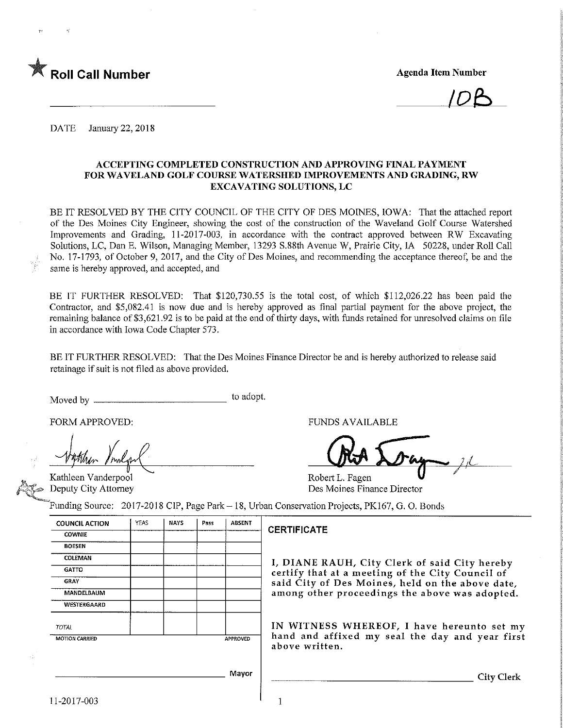

DATE January 22, 2018

#### ACCEPTING COMPLETED CONSTRUCTION AND APPROVING FINAL PAYMENT FOR WAVELAND GOLF COURSE WATERSHED IMPROVEMENTS AND GRADING, RW EXCAVATING SOLUTIONS, LC

BE IT RESOLVED BY THE CITY COUNCIL OF THE CITY OF DES MOINES, IOWA: That the attached report of the Des Moines City Engineer, showing the cost of the construction of the Waveland Golf Course Watershed Improvements and Grading, 11-2017-003, in accordance with the contract approved between RW Excavating Solutions, LC, Dan E. Wilson, Managing Member, 13293 S.88th Avenue W, Prairie City, IA 50228, under Roll Call No. 17-1793, of October 9, 2017, and the City of Des Moines, and recommending the acceptance thereof, be and the same is hereby approved, and accepted, and

BE IT FURTHER RESOLVED: That \$120,730.55 is the total cost, of which \$112,026.22 has been paid the Contractor, and \$5,082.41 is now due and is hereby approved as final partial payment for the above project, the remaining balance of \$3,621.92 is to be paid at the end of thirty days, with funds retained for unresolved claims on file m accordance with Iowa Code Chapter 573.

BE IT FURTHER RESOLVED: That the Des Moines Finance Director be and is hereby authorized to release said retainage if suit is not filed as above provided.

Moved by  $\frac{1}{2}$ to adopt.

FORM APPROVED:

Kathleen Vanderpool Deputy City Attorney

FUNDS AVAILABLE

Robert L. Fagen Des Moines Finance Director

Funding Source: 2017-2018 CIP, Page Park- 18, Urban Conservation Projects, PK167, G. 0. Bonds

| <b>COUNCIL ACTION</b> | YEAS | <b>NAYS</b> | Pass            | <b>ABSENT</b> |   |  |  |
|-----------------------|------|-------------|-----------------|---------------|---|--|--|
| <b>COWNIE</b>         |      |             |                 |               | t |  |  |
| <b>BOESEN</b>         |      |             |                 |               |   |  |  |
| COLEMAN               |      |             |                 |               |   |  |  |
| <b>GATTO</b>          |      |             |                 |               |   |  |  |
| <b>GRAY</b>           |      |             |                 |               |   |  |  |
| MANDELBAUM            |      |             |                 |               |   |  |  |
| WESTERGAARD           |      |             |                 |               |   |  |  |
| <b>TOTAL</b>          |      |             |                 |               |   |  |  |
| <b>MOTION CARRIED</b> |      |             | <b>APPROVED</b> |               |   |  |  |
|                       |      |             |                 |               |   |  |  |
|                       |      |             |                 |               |   |  |  |
|                       |      |             |                 | Mayor         |   |  |  |

### **CERTIFICATE**

I/ DIANE RAUH/ City Clerk of said City hereby certify that at a meeting of the City Council of said City of Des Moines, held on the above date. among other proceedings the above was adopted.

IN WITNESS WHEREOF, I have hereunto set my hand and affixed my seal the day and year first above written.

City Clerk

1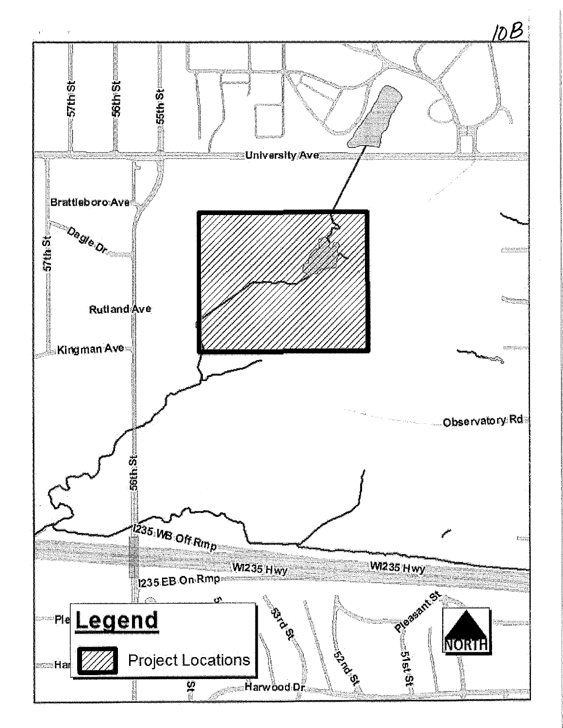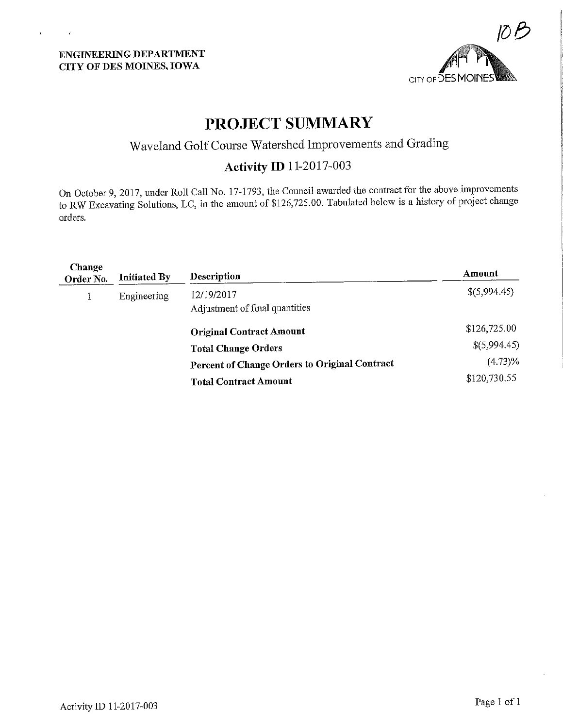$\bar{\mathbf{r}}$ 

 $\sim$  4



# PROJECT SUMMARY

Waveland Golf Course Watershed Improvements and Grading

# Activity ID 11-2017-003

On October 9, 2017, under Roll Call No. 17-1793, the Council awarded the contract for the above improvements to RW Excavating Solutions, LC, in the amount of \$126,725.00. Tabulated below is a history of project change orders.

| Change<br>Order No. | <b>Initiated By</b> | Description                                   | Amount       |
|---------------------|---------------------|-----------------------------------------------|--------------|
|                     | Engineering         | 12/19/2017<br>Adjustment of final quantities  | \$(5,994.45) |
|                     |                     | <b>Original Contract Amount</b>               | \$126,725.00 |
|                     |                     | <b>Total Change Orders</b>                    | \$(5,994.45) |
|                     |                     | Percent of Change Orders to Original Contract | $(4.73)\%$   |
|                     |                     | <b>Total Contract Amount</b>                  | \$120,730.55 |
|                     |                     |                                               |              |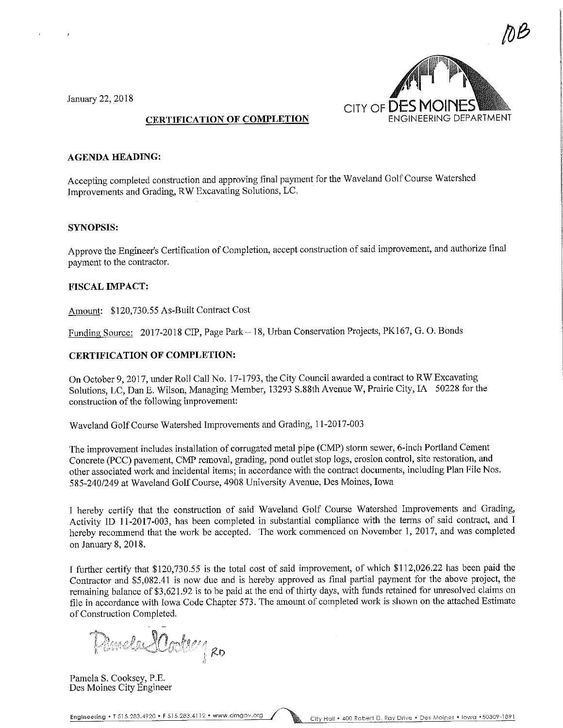DB<br>D CITY OF **DES MOINES** 

January 22, 2018

 $\bar{J}$ 

### CERTIFICATION OF COMPLETION

#### AGENDA HEADING:

Accepting completed construction and approving final payment for the Waveland Golf Course Watershed Improvements and Grading, RW Excavating Solutions, LC.

#### SYNOPSIS:

Approve the Engineer's Certification of Completion, accept construction of said improvement, and authorize final payment to the contractor.

#### FISCAL IMPACT:

Amount: \$120,730.55 As-Built Contract Cost

Funding Source: 2017-2018 CIP, Page Park - 18, Urban Conservation Projects, PK167, G. O. Bonds

#### CERTIFICATION OF COMPLETION:

On October 9, 2017, under Roll Call No. 17-1793, the City Council awarded a contract to RW Excavating Solutions, LC, Dan E. Wilson, Managing Member, 13293 S.88th Avenue W, Prairie City, IA 50228 for the construction of the following improvement:

Waveland Golf Course Watershed Improvements and Grading, 11-2017-003

The improvement includes installation of corrugated metal pipe (CMP) storm sewer, 6-inch Portland Cement Concrete (PCC) pavement, CMP removal, grading, pond outlet stop logs, erosion control, site restoration, and other associated work and incidental items; in accordance with the contract documents, including Plan File Nos. 585-240/249 at Waveland Golf Course, 4908 University Avenue, Des Moines, Iowa

I hereby certify that the construction of said Waveland Golf Course Watershed Improvements and Grading, Activity ID 11-2017-003, has been completed in substantial compliance with the terms of said contract, and I hereby recommend that the work be accepted. The work commenced on November 1, 2017, and was completed on January 8,2018.

I further certify that \$120,730.55 is the total cost of said improvement, of which \$112,026.22 has been paid the Contractor and \$5,082.41 is now due and is hereby approved as final partial payment for the above project, the remaining balance of \$3,621.92 is to be paid at the end of thirty days, with funds retained for unresolved claims on file in accordance with Iowa Code Chapter 573. The amount of completed work is shown on the attached Estimate of Construction Completed.

Mela SCode y 20 i'l

Pamela S. Cooksey, P.E. Des Moines City Engineer

Engineering \* T 515.283.4920 \* F 515.283.4112 • www.dmgov.org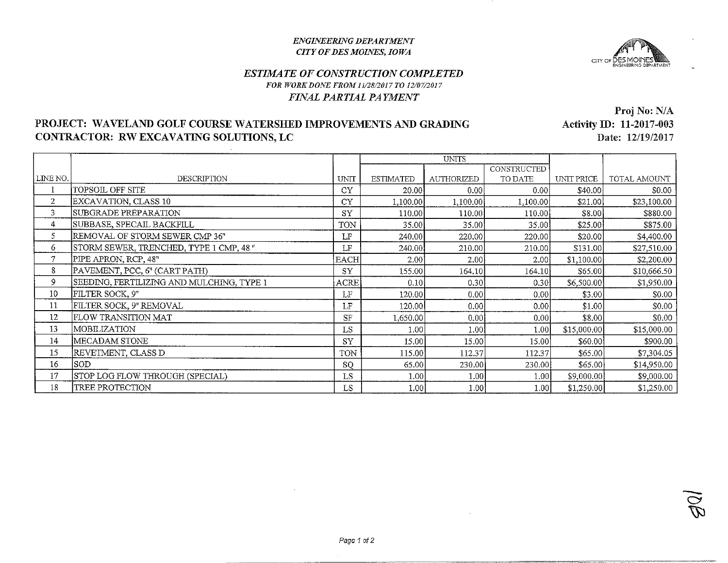#### **ENGINEERING DEPARTMENT CITY OF DES MOINES, IOWA**



## **ESTIMATE OF CONSTRUCTION COMPLETED** FOR WORK DONE FROM 11/28/2017 TO 12/07/2017 FINAL PARTIAL PAYMENT

# PROJECT: WAVELAND GOLF COURSE WATERSHED IMPROVEMENTS AND GRADING CONTRACTOR: RW EXCAVATING SOLUTIONS, LC

Proj No: N/A **Activity ID: 11-2017-003** Date: 12/19/2017

|                |                                           |               | <b>UNITS</b>     |                   |             |             |              |
|----------------|-------------------------------------------|---------------|------------------|-------------------|-------------|-------------|--------------|
|                |                                           |               |                  |                   | CONSTRUCTED |             |              |
| LINE NO.       | DESCRIPTION                               | <b>UNIT</b>   | <b>ESTIMATED</b> | <b>AUTHORIZED</b> | TO DATE     | UNIT PRICE  | TOTAL AMOUNT |
|                | TOPSOIL OFF SITE                          | CY            | 20.00            | 0.00              | 0.00        | \$40.00     | \$0.00       |
| $\overline{2}$ | EXCAVATION, CLASS 10                      | <b>CY</b>     | 1,100.00         | 1,100.00          | 1,100.00    | \$21.00     | \$23,100.00  |
| 3              | SUBGRADE PREPARATION                      | <b>SY</b>     | 110.00           | 110.00            | 110.00      | \$8.00      | \$880.00     |
| 4              | SUBBASE, SPECAIL BACKFILL                 | TON           | 35.00            | 35.00             | 35.00       | \$25.00     | \$875.00     |
| 5              | REMOVAL OF STORM SEWER CMP 36"            | LF            | 240.00           | 220.00            | 220.00      | \$20.00     | \$4,400.00   |
| 6              | STORM SEWER, TRENCHED, TYPE 1 CMP, 48"    | LF            | 240.00           | 210.00            | 210.00      | \$131.00    | \$27,510.00  |
| 7              | PIPE APRON, RCP, 48"                      | <b>EACH</b>   | 2.00             | 2.00              | 2.00        | \$1,100.00  | \$2,200.00   |
| 8              | PAVEMENT, PCC, 6" (CART PATH)             | SY            | 155.00           | 164.10            | 164.10      | \$65.00     | \$10,666.50  |
| 9              | SEEDING, FERTILIZING AND MULCHING, TYPE 1 | ACRE          | 0.10             | 0.30              | 0.30        | \$6,500.00  | \$1,950.00   |
| 10             | FILTER SOCK, 9"                           | LF            | 120.00           | 0.00              | 0.00        | \$3.00      | \$0.00       |
| 11             | FILTER SOCK, 9" REMOVAL                   | LF            | 120.00           | 0.00              | 0.00        | \$1.00      | \$0.00       |
| 12             | FLOW TRANSITION MAT                       | <b>SF</b>     | 1,650.00         | 0.00              | 0.00        | \$8.00      | \$0.00       |
| 13             | MOBILIZATION                              | LS            | 1.00             | 1.00              | 1.00        | \$15,000.00 | \$15,000.00  |
| 14             | MECADAM STONE                             | SY            | 15.00            | 15.00             | 15.00       | \$60.00     | \$900.00     |
| 15             | REVETMENT, CLASS D                        | TON           | 115.00           | 112.37            | 112.37      | \$65.00     | \$7,304.05   |
| 16             | SOD-                                      | <sub>SO</sub> | 65.00            | 230.00            | 230.00      | \$65.00     | \$14,950.00  |
| 17             | STOP LOG FLOW THROUGH (SPECIAL)           | LS            | 1.00             | 1.00              | 1.00        | \$9,000.00  | \$9,000.00   |
| 18             | <b>TREE PROTECTION</b>                    | LS            | 1.00             | 1.00              | 1.00        | \$1,250.00  | \$1,250.00   |